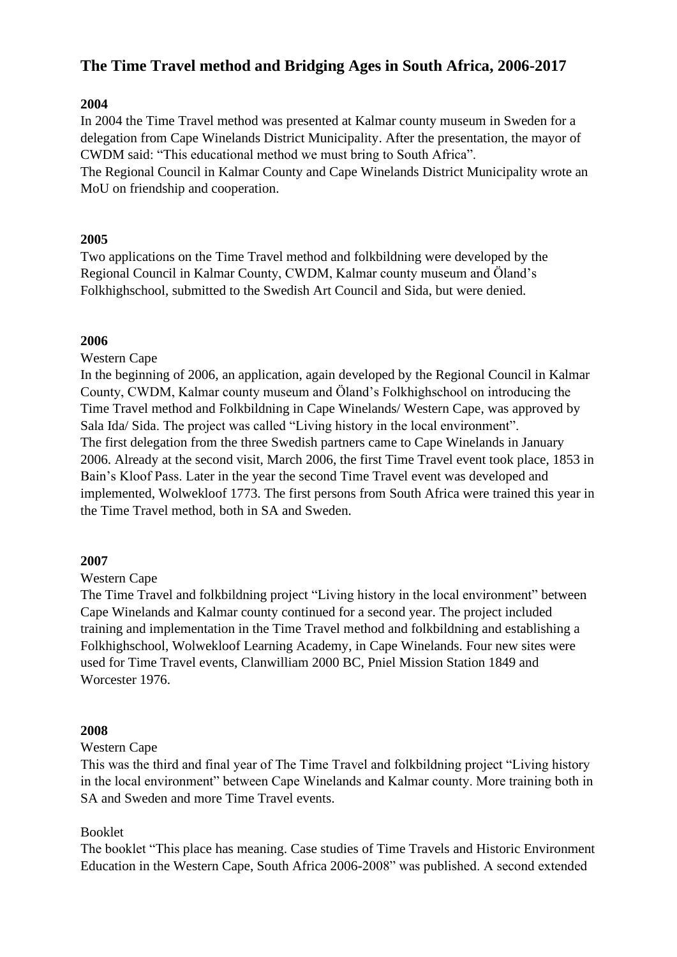# **The Time Travel method and Bridging Ages in South Africa, 2006-2017**

## **2004**

In 2004 the Time Travel method was presented at Kalmar county museum in Sweden for a delegation from Cape Winelands District Municipality. After the presentation, the mayor of CWDM said: "This educational method we must bring to South Africa". The Regional Council in Kalmar County and Cape Winelands District Municipality wrote an MoU on friendship and cooperation.

## **2005**

Two applications on the Time Travel method and folkbildning were developed by the Regional Council in Kalmar County, CWDM, Kalmar county museum and Öland's Folkhighschool, submitted to the Swedish Art Council and Sida, but were denied.

## **2006**

Western Cape

In the beginning of 2006, an application, again developed by the Regional Council in Kalmar County, CWDM, Kalmar county museum and Öland's Folkhighschool on introducing the Time Travel method and Folkbildning in Cape Winelands/ Western Cape, was approved by Sala Ida/ Sida. The project was called "Living history in the local environment". The first delegation from the three Swedish partners came to Cape Winelands in January 2006. Already at the second visit, March 2006, the first Time Travel event took place, 1853 in Bain's Kloof Pass. Later in the year the second Time Travel event was developed and implemented, Wolwekloof 1773. The first persons from South Africa were trained this year in the Time Travel method, both in SA and Sweden.

## **2007**

## Western Cape

The Time Travel and folkbildning project "Living history in the local environment" between Cape Winelands and Kalmar county continued for a second year. The project included training and implementation in the Time Travel method and folkbildning and establishing a Folkhighschool, Wolwekloof Learning Academy, in Cape Winelands. Four new sites were used for Time Travel events, Clanwilliam 2000 BC, Pniel Mission Station 1849 and Worcester 1976.

## **2008**

## Western Cape

This was the third and final year of The Time Travel and folkbildning project "Living history in the local environment" between Cape Winelands and Kalmar county. More training both in SA and Sweden and more Time Travel events.

## Booklet

The booklet "This place has meaning. Case studies of Time Travels and Historic Environment Education in the Western Cape, South Africa 2006-2008" was published. A second extended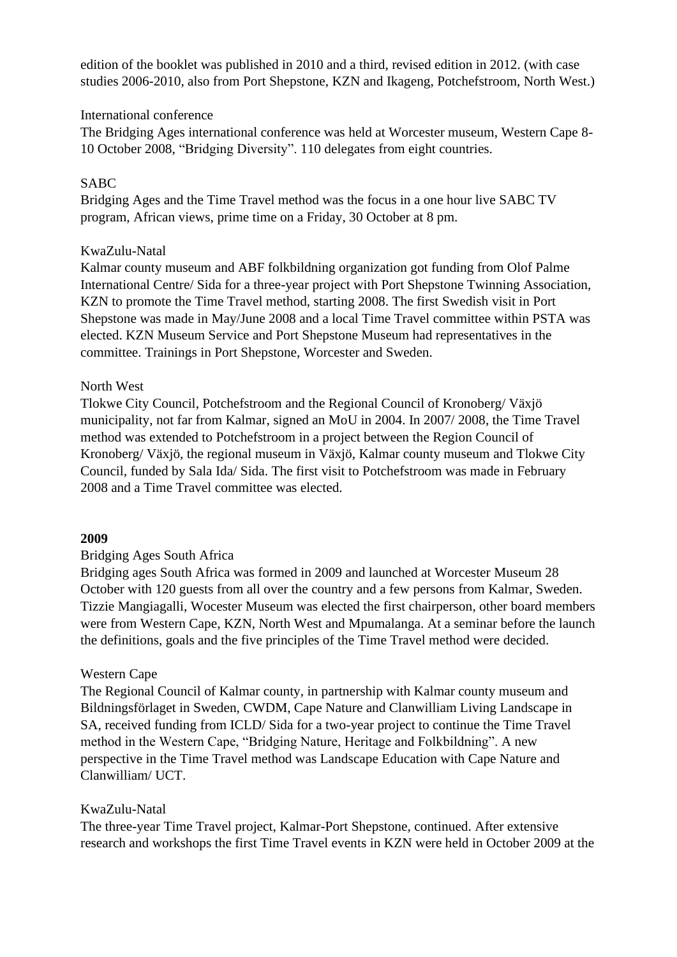edition of the booklet was published in 2010 and a third, revised edition in 2012. (with case studies 2006-2010, also from Port Shepstone, KZN and Ikageng, Potchefstroom, North West.)

#### International conference

The Bridging Ages international conference was held at Worcester museum, Western Cape 8- 10 October 2008, "Bridging Diversity". 110 delegates from eight countries.

### SABC

Bridging Ages and the Time Travel method was the focus in a one hour live SABC TV program, African views, prime time on a Friday, 30 October at 8 pm.

### KwaZulu-Natal

Kalmar county museum and ABF folkbildning organization got funding from Olof Palme International Centre/ Sida for a three-year project with Port Shepstone Twinning Association, KZN to promote the Time Travel method, starting 2008. The first Swedish visit in Port Shepstone was made in May/June 2008 and a local Time Travel committee within PSTA was elected. KZN Museum Service and Port Shepstone Museum had representatives in the committee. Trainings in Port Shepstone, Worcester and Sweden.

### North West

Tlokwe City Council, Potchefstroom and the Regional Council of Kronoberg/ Växjö municipality, not far from Kalmar, signed an MoU in 2004. In 2007/ 2008, the Time Travel method was extended to Potchefstroom in a project between the Region Council of Kronoberg/ Växjö, the regional museum in Växjö, Kalmar county museum and Tlokwe City Council, funded by Sala Ida/ Sida. The first visit to Potchefstroom was made in February 2008 and a Time Travel committee was elected.

#### **2009**

## Bridging Ages South Africa

Bridging ages South Africa was formed in 2009 and launched at Worcester Museum 28 October with 120 guests from all over the country and a few persons from Kalmar, Sweden. Tizzie Mangiagalli, Wocester Museum was elected the first chairperson, other board members were from Western Cape, KZN, North West and Mpumalanga. At a seminar before the launch the definitions, goals and the five principles of the Time Travel method were decided.

#### Western Cape

The Regional Council of Kalmar county, in partnership with Kalmar county museum and Bildningsförlaget in Sweden, CWDM, Cape Nature and Clanwilliam Living Landscape in SA, received funding from ICLD/ Sida for a two-year project to continue the Time Travel method in the Western Cape, "Bridging Nature, Heritage and Folkbildning". A new perspective in the Time Travel method was Landscape Education with Cape Nature and Clanwilliam/ UCT.

#### KwaZulu-Natal

The three-year Time Travel project, Kalmar-Port Shepstone, continued. After extensive research and workshops the first Time Travel events in KZN were held in October 2009 at the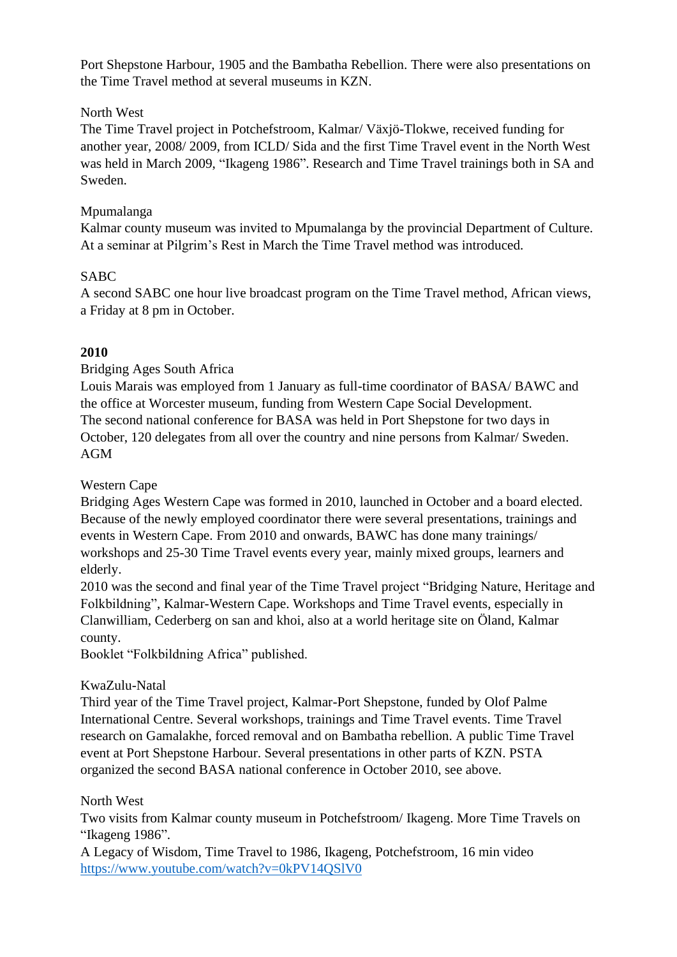Port Shepstone Harbour, 1905 and the Bambatha Rebellion. There were also presentations on the Time Travel method at several museums in KZN.

## North West

The Time Travel project in Potchefstroom, Kalmar/ Växjö-Tlokwe, received funding for another year, 2008/ 2009, from ICLD/ Sida and the first Time Travel event in the North West was held in March 2009, "Ikageng 1986". Research and Time Travel trainings both in SA and Sweden.

## Mpumalanga

Kalmar county museum was invited to Mpumalanga by the provincial Department of Culture. At a seminar at Pilgrim's Rest in March the Time Travel method was introduced.

## SABC

A second SABC one hour live broadcast program on the Time Travel method, African views, a Friday at 8 pm in October.

## **2010**

## Bridging Ages South Africa

Louis Marais was employed from 1 January as full-time coordinator of BASA/ BAWC and the office at Worcester museum, funding from Western Cape Social Development. The second national conference for BASA was held in Port Shepstone for two days in October, 120 delegates from all over the country and nine persons from Kalmar/ Sweden. AGM

## Western Cape

Bridging Ages Western Cape was formed in 2010, launched in October and a board elected. Because of the newly employed coordinator there were several presentations, trainings and events in Western Cape. From 2010 and onwards, BAWC has done many trainings/ workshops and 25-30 Time Travel events every year, mainly mixed groups, learners and elderly.

2010 was the second and final year of the Time Travel project "Bridging Nature, Heritage and Folkbildning", Kalmar-Western Cape. Workshops and Time Travel events, especially in Clanwilliam, Cederberg on san and khoi, also at a world heritage site on Öland, Kalmar county.

Booklet "Folkbildning Africa" published.

## KwaZulu-Natal

Third year of the Time Travel project, Kalmar-Port Shepstone, funded by Olof Palme International Centre. Several workshops, trainings and Time Travel events. Time Travel research on Gamalakhe, forced removal and on Bambatha rebellion. A public Time Travel event at Port Shepstone Harbour. Several presentations in other parts of KZN. PSTA organized the second BASA national conference in October 2010, see above.

## North West

Two visits from Kalmar county museum in Potchefstroom/ Ikageng. More Time Travels on "Ikageng 1986".

A Legacy of Wisdom, Time Travel to 1986, Ikageng, Potchefstroom, 16 min video <https://www.youtube.com/watch?v=0kPV14QSlV0>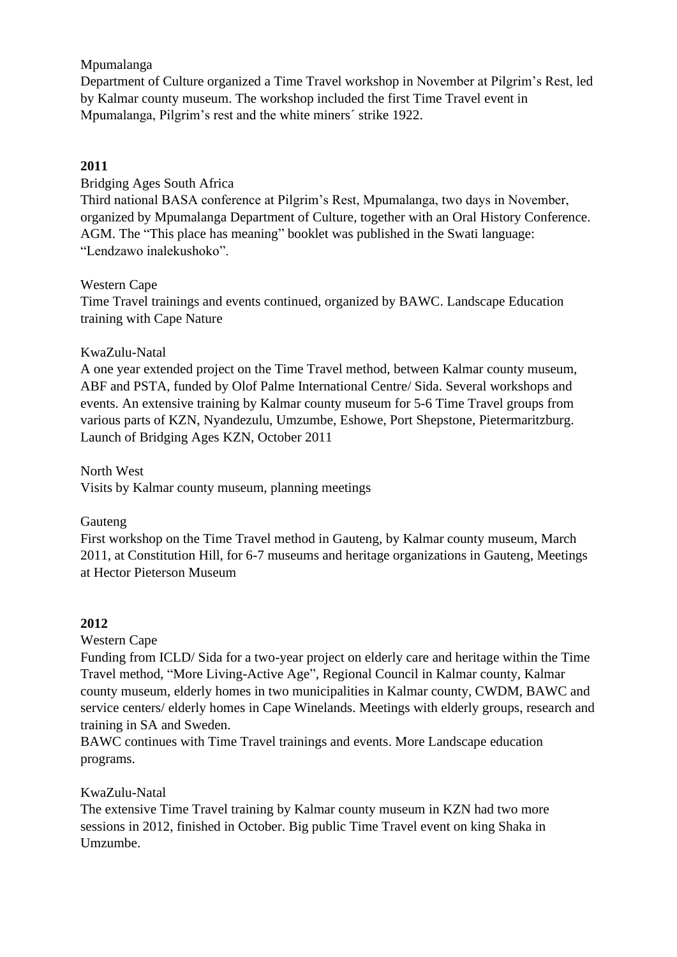## Mpumalanga

Department of Culture organized a Time Travel workshop in November at Pilgrim's Rest, led by Kalmar county museum. The workshop included the first Time Travel event in Mpumalanga, Pilgrim's rest and the white miners´ strike 1922.

## **2011**

Bridging Ages South Africa

Third national BASA conference at Pilgrim's Rest, Mpumalanga, two days in November, organized by Mpumalanga Department of Culture, together with an Oral History Conference. AGM. The "This place has meaning" booklet was published in the Swati language: "Lendzawo inalekushoko".

#### Western Cape

Time Travel trainings and events continued, organized by BAWC. Landscape Education training with Cape Nature

### KwaZulu-Natal

A one year extended project on the Time Travel method, between Kalmar county museum, ABF and PSTA, funded by Olof Palme International Centre/ Sida. Several workshops and events. An extensive training by Kalmar county museum for 5-6 Time Travel groups from various parts of KZN, Nyandezulu, Umzumbe, Eshowe, Port Shepstone, Pietermaritzburg. Launch of Bridging Ages KZN, October 2011

North West Visits by Kalmar county museum, planning meetings

#### Gauteng

First workshop on the Time Travel method in Gauteng, by Kalmar county museum, March 2011, at Constitution Hill, for 6-7 museums and heritage organizations in Gauteng, Meetings at Hector Pieterson Museum

#### **2012**

Western Cape

Funding from ICLD/ Sida for a two-year project on elderly care and heritage within the Time Travel method, "More Living-Active Age", Regional Council in Kalmar county, Kalmar county museum, elderly homes in two municipalities in Kalmar county, CWDM, BAWC and service centers/ elderly homes in Cape Winelands. Meetings with elderly groups, research and training in SA and Sweden.

BAWC continues with Time Travel trainings and events. More Landscape education programs.

#### KwaZulu-Natal

The extensive Time Travel training by Kalmar county museum in KZN had two more sessions in 2012, finished in October. Big public Time Travel event on king Shaka in Umzumbe.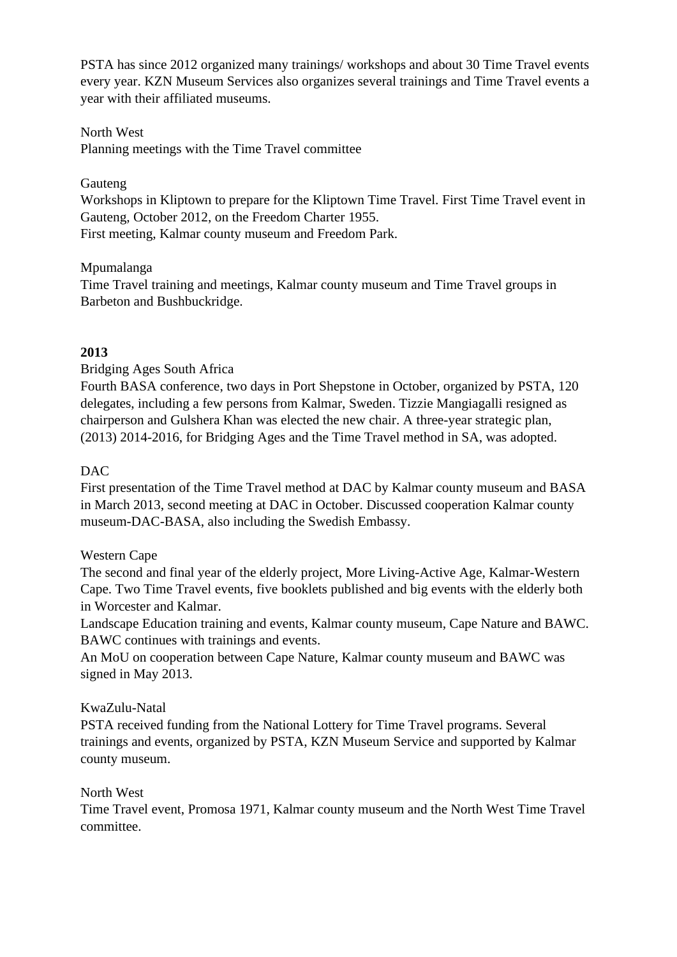PSTA has since 2012 organized many trainings/ workshops and about 30 Time Travel events every year. KZN Museum Services also organizes several trainings and Time Travel events a year with their affiliated museums.

## North West

Planning meetings with the Time Travel committee

## Gauteng

Workshops in Kliptown to prepare for the Kliptown Time Travel. First Time Travel event in Gauteng, October 2012, on the Freedom Charter 1955.

First meeting, Kalmar county museum and Freedom Park.

## Mpumalanga

Time Travel training and meetings, Kalmar county museum and Time Travel groups in Barbeton and Bushbuckridge.

## **2013**

## Bridging Ages South Africa

Fourth BASA conference, two days in Port Shepstone in October, organized by PSTA, 120 delegates, including a few persons from Kalmar, Sweden. Tizzie Mangiagalli resigned as chairperson and Gulshera Khan was elected the new chair. A three-year strategic plan, (2013) 2014-2016, for Bridging Ages and the Time Travel method in SA, was adopted.

## DAC

First presentation of the Time Travel method at DAC by Kalmar county museum and BASA in March 2013, second meeting at DAC in October. Discussed cooperation Kalmar county museum-DAC-BASA, also including the Swedish Embassy.

## Western Cape

The second and final year of the elderly project, More Living-Active Age, Kalmar-Western Cape. Two Time Travel events, five booklets published and big events with the elderly both in Worcester and Kalmar.

Landscape Education training and events, Kalmar county museum, Cape Nature and BAWC. BAWC continues with trainings and events.

An MoU on cooperation between Cape Nature, Kalmar county museum and BAWC was signed in May 2013.

## KwaZulu-Natal

PSTA received funding from the National Lottery for Time Travel programs. Several trainings and events, organized by PSTA, KZN Museum Service and supported by Kalmar county museum.

## North West

Time Travel event, Promosa 1971, Kalmar county museum and the North West Time Travel committee.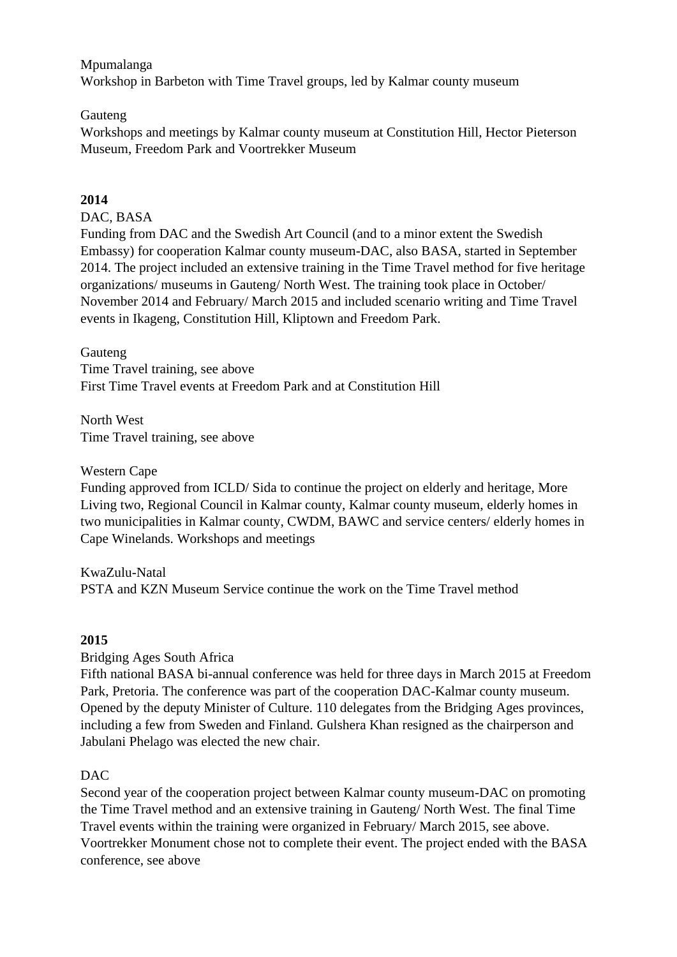Mpumalanga Workshop in Barbeton with Time Travel groups, led by Kalmar county museum

### **Gauteng**

Workshops and meetings by Kalmar county museum at Constitution Hill, Hector Pieterson Museum, Freedom Park and Voortrekker Museum

## **2014**

## DAC, BASA

Funding from DAC and the Swedish Art Council (and to a minor extent the Swedish Embassy) for cooperation Kalmar county museum-DAC, also BASA, started in September 2014. The project included an extensive training in the Time Travel method for five heritage organizations/ museums in Gauteng/ North West. The training took place in October/ November 2014 and February/ March 2015 and included scenario writing and Time Travel events in Ikageng, Constitution Hill, Kliptown and Freedom Park.

#### Gauteng

Time Travel training, see above First Time Travel events at Freedom Park and at Constitution Hill

North West Time Travel training, see above

Western Cape

Funding approved from ICLD/ Sida to continue the project on elderly and heritage, More Living two, Regional Council in Kalmar county, Kalmar county museum, elderly homes in two municipalities in Kalmar county, CWDM, BAWC and service centers/ elderly homes in Cape Winelands. Workshops and meetings

KwaZulu-Natal PSTA and KZN Museum Service continue the work on the Time Travel method

## **2015**

Bridging Ages South Africa

Fifth national BASA bi-annual conference was held for three days in March 2015 at Freedom Park, Pretoria. The conference was part of the cooperation DAC-Kalmar county museum. Opened by the deputy Minister of Culture. 110 delegates from the Bridging Ages provinces, including a few from Sweden and Finland. Gulshera Khan resigned as the chairperson and Jabulani Phelago was elected the new chair.

## DAC

Second year of the cooperation project between Kalmar county museum-DAC on promoting the Time Travel method and an extensive training in Gauteng/ North West. The final Time Travel events within the training were organized in February/ March 2015, see above. Voortrekker Monument chose not to complete their event. The project ended with the BASA conference, see above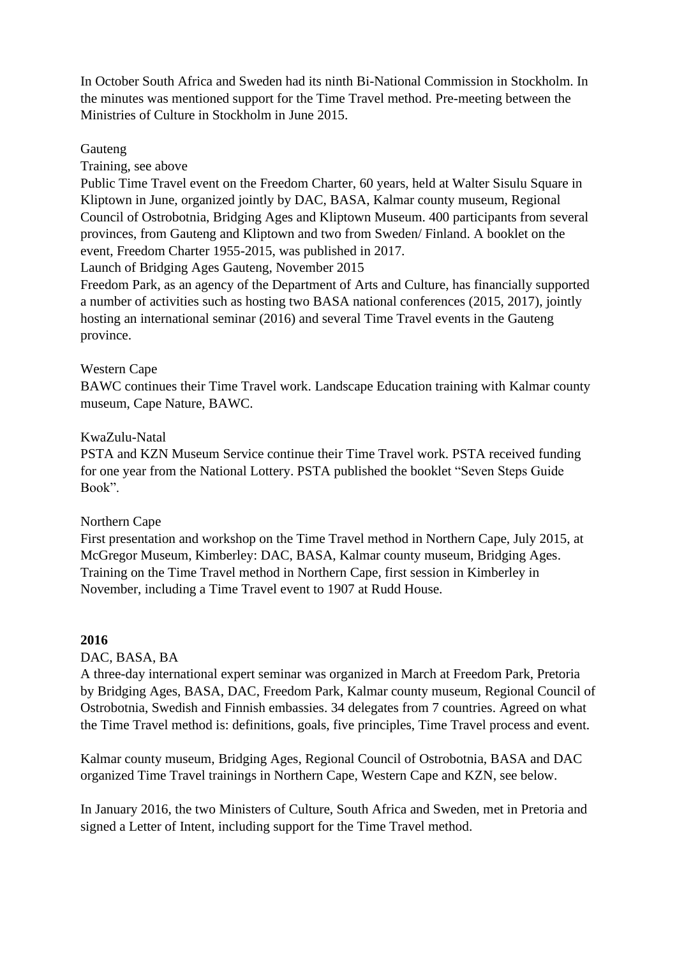In October South Africa and Sweden had its ninth Bi-National Commission in Stockholm. In the minutes was mentioned support for the Time Travel method. Pre-meeting between the Ministries of Culture in Stockholm in June 2015.

### Gauteng

Training, see above

Public Time Travel event on the Freedom Charter, 60 years, held at Walter Sisulu Square in Kliptown in June, organized jointly by DAC, BASA, Kalmar county museum, Regional Council of Ostrobotnia, Bridging Ages and Kliptown Museum. 400 participants from several provinces, from Gauteng and Kliptown and two from Sweden/ Finland. A booklet on the event, Freedom Charter 1955-2015, was published in 2017.

Launch of Bridging Ages Gauteng, November 2015

Freedom Park, as an agency of the Department of Arts and Culture, has financially supported a number of activities such as hosting two BASA national conferences (2015, 2017), jointly hosting an international seminar (2016) and several Time Travel events in the Gauteng province.

## Western Cape

BAWC continues their Time Travel work. Landscape Education training with Kalmar county museum, Cape Nature, BAWC.

### KwaZulu-Natal

PSTA and KZN Museum Service continue their Time Travel work. PSTA received funding for one year from the National Lottery. PSTA published the booklet "Seven Steps Guide Book".

## Northern Cape

First presentation and workshop on the Time Travel method in Northern Cape, July 2015, at McGregor Museum, Kimberley: DAC, BASA, Kalmar county museum, Bridging Ages. Training on the Time Travel method in Northern Cape, first session in Kimberley in November, including a Time Travel event to 1907 at Rudd House.

## **2016**

## DAC, BASA, BA

A three-day international expert seminar was organized in March at Freedom Park, Pretoria by Bridging Ages, BASA, DAC, Freedom Park, Kalmar county museum, Regional Council of Ostrobotnia, Swedish and Finnish embassies. 34 delegates from 7 countries. Agreed on what the Time Travel method is: definitions, goals, five principles, Time Travel process and event.

Kalmar county museum, Bridging Ages, Regional Council of Ostrobotnia, BASA and DAC organized Time Travel trainings in Northern Cape, Western Cape and KZN, see below.

In January 2016, the two Ministers of Culture, South Africa and Sweden, met in Pretoria and signed a Letter of Intent, including support for the Time Travel method.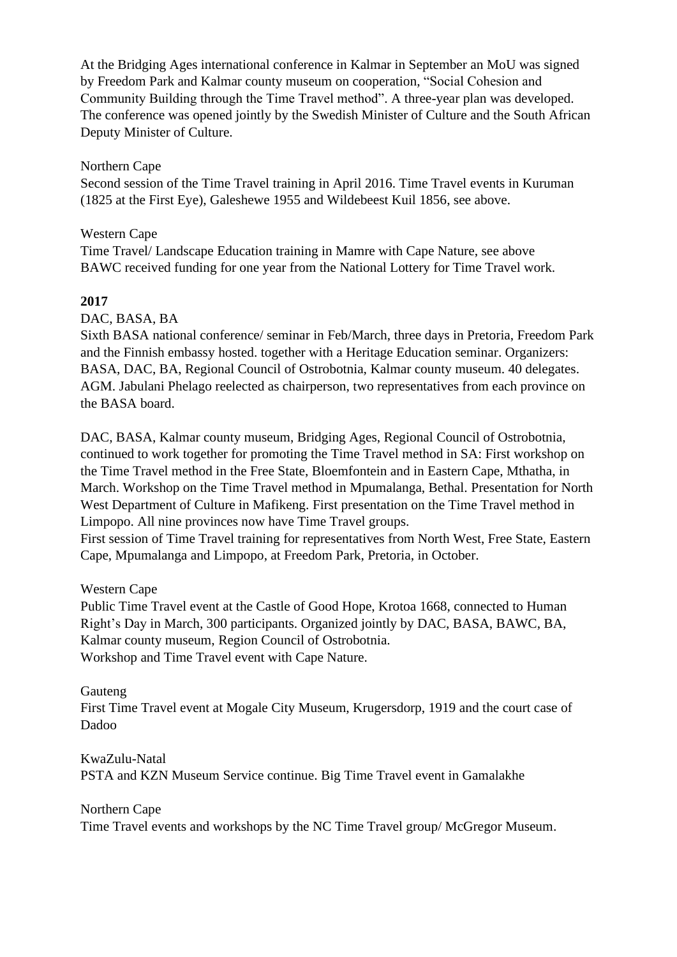At the Bridging Ages international conference in Kalmar in September an MoU was signed by Freedom Park and Kalmar county museum on cooperation, "Social Cohesion and Community Building through the Time Travel method". A three-year plan was developed. The conference was opened jointly by the Swedish Minister of Culture and the South African Deputy Minister of Culture.

Northern Cape

Second session of the Time Travel training in April 2016. Time Travel events in Kuruman (1825 at the First Eye), Galeshewe 1955 and Wildebeest Kuil 1856, see above.

Western Cape

Time Travel/ Landscape Education training in Mamre with Cape Nature, see above BAWC received funding for one year from the National Lottery for Time Travel work.

## **2017**

DAC, BASA, BA

Sixth BASA national conference/ seminar in Feb/March, three days in Pretoria, Freedom Park and the Finnish embassy hosted. together with a Heritage Education seminar. Organizers: BASA, DAC, BA, Regional Council of Ostrobotnia, Kalmar county museum. 40 delegates. AGM. Jabulani Phelago reelected as chairperson, two representatives from each province on the BASA board.

DAC, BASA, Kalmar county museum, Bridging Ages, Regional Council of Ostrobotnia, continued to work together for promoting the Time Travel method in SA: First workshop on the Time Travel method in the Free State, Bloemfontein and in Eastern Cape, Mthatha, in March. Workshop on the Time Travel method in Mpumalanga, Bethal. Presentation for North West Department of Culture in Mafikeng. First presentation on the Time Travel method in Limpopo. All nine provinces now have Time Travel groups.

First session of Time Travel training for representatives from North West, Free State, Eastern Cape, Mpumalanga and Limpopo, at Freedom Park, Pretoria, in October.

## Western Cape

Public Time Travel event at the Castle of Good Hope, Krotoa 1668, connected to Human Right's Day in March, 300 participants. Organized jointly by DAC, BASA, BAWC, BA, Kalmar county museum, Region Council of Ostrobotnia. Workshop and Time Travel event with Cape Nature.

#### Gauteng

First Time Travel event at Mogale City Museum, Krugersdorp, 1919 and the court case of Dadoo

KwaZulu-Natal PSTA and KZN Museum Service continue. Big Time Travel event in Gamalakhe

Northern Cape

Time Travel events and workshops by the NC Time Travel group/ McGregor Museum.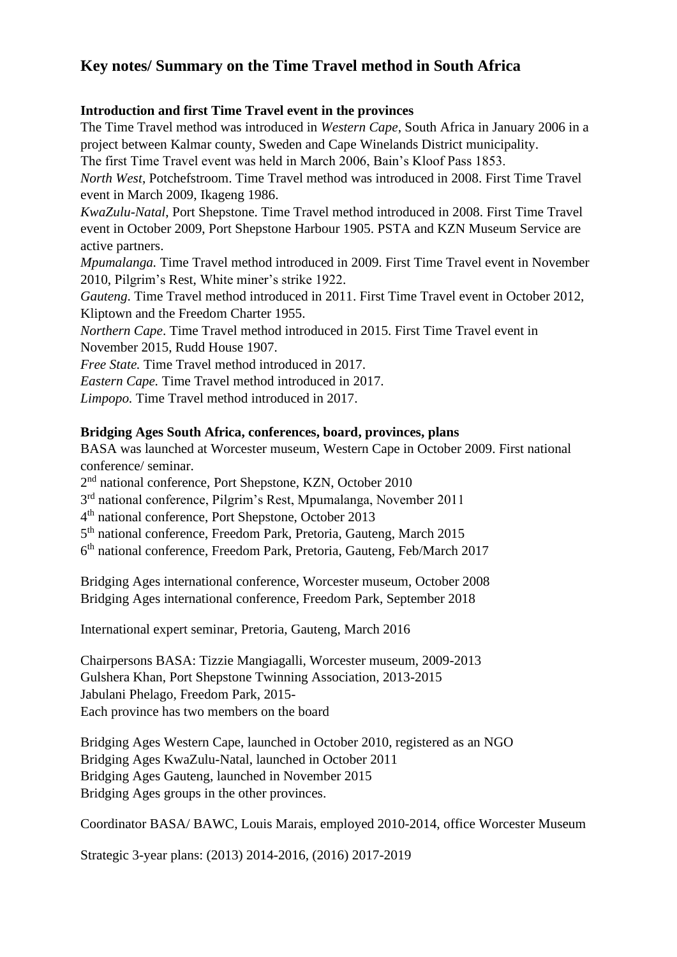# **Key notes/ Summary on the Time Travel method in South Africa**

### **Introduction and first Time Travel event in the provinces**

The Time Travel method was introduced in *Western Cape*, South Africa in January 2006 in a project between Kalmar county, Sweden and Cape Winelands District municipality.

The first Time Travel event was held in March 2006, Bain's Kloof Pass 1853.

*North West*, Potchefstroom. Time Travel method was introduced in 2008. First Time Travel event in March 2009, Ikageng 1986.

*KwaZulu-Natal*, Port Shepstone. Time Travel method introduced in 2008. First Time Travel event in October 2009, Port Shepstone Harbour 1905. PSTA and KZN Museum Service are active partners.

*Mpumalanga.* Time Travel method introduced in 2009. First Time Travel event in November 2010, Pilgrim's Rest, White miner's strike 1922.

*Gauteng*. Time Travel method introduced in 2011. First Time Travel event in October 2012, Kliptown and the Freedom Charter 1955.

*Northern Cape*. Time Travel method introduced in 2015. First Time Travel event in November 2015, Rudd House 1907.

*Free State.* Time Travel method introduced in 2017.

*Eastern Cape.* Time Travel method introduced in 2017.

*Limpopo.* Time Travel method introduced in 2017.

### **Bridging Ages South Africa, conferences, board, provinces, plans**

BASA was launched at Worcester museum, Western Cape in October 2009. First national conference/ seminar.

2<sup>nd</sup> national conference, Port Shepstone, KZN, October 2010

3<sup>rd</sup> national conference, Pilgrim's Rest, Mpumalanga, November 2011

4<sup>th</sup> national conference, Port Shepstone, October 2013

5<sup>th</sup> national conference, Freedom Park, Pretoria, Gauteng, March 2015

6 th national conference, Freedom Park, Pretoria, Gauteng, Feb/March 2017

Bridging Ages international conference, Worcester museum, October 2008 Bridging Ages international conference, Freedom Park, September 2018

International expert seminar, Pretoria, Gauteng, March 2016

Chairpersons BASA: Tizzie Mangiagalli, Worcester museum, 2009-2013 Gulshera Khan, Port Shepstone Twinning Association, 2013-2015 Jabulani Phelago, Freedom Park, 2015- Each province has two members on the board

Bridging Ages Western Cape, launched in October 2010, registered as an NGO Bridging Ages KwaZulu-Natal, launched in October 2011 Bridging Ages Gauteng, launched in November 2015 Bridging Ages groups in the other provinces.

Coordinator BASA/ BAWC, Louis Marais, employed 2010-2014, office Worcester Museum

Strategic 3-year plans: (2013) 2014-2016, (2016) 2017-2019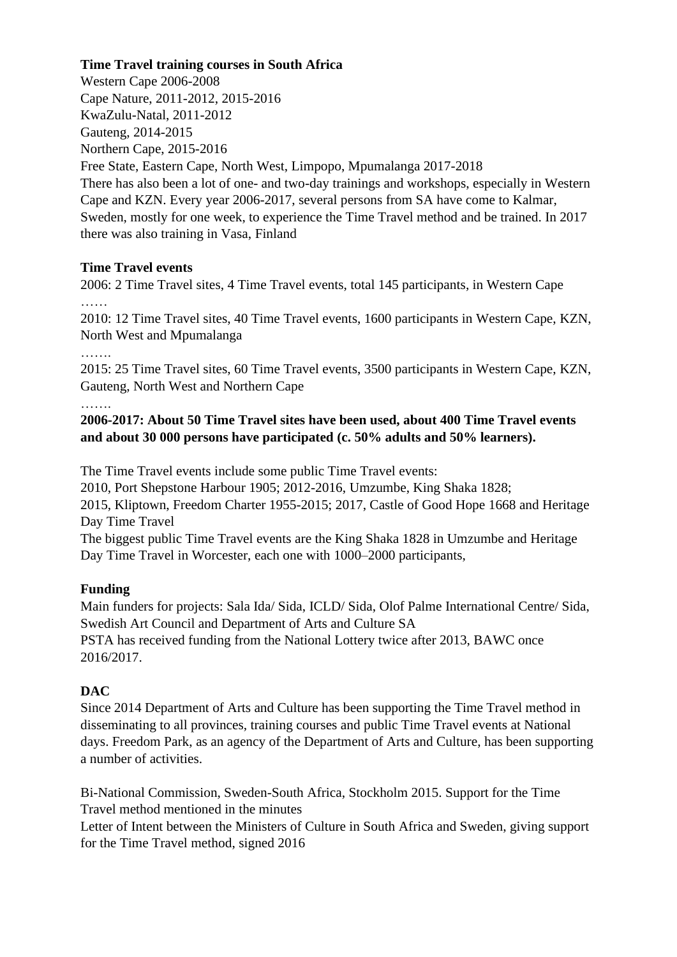### **Time Travel training courses in South Africa**

Western Cape 2006-2008 Cape Nature, 2011-2012, 2015-2016 KwaZulu-Natal, 2011-2012 Gauteng, 2014-2015 Northern Cape, 2015-2016 Free State, Eastern Cape, North West, Limpopo, Mpumalanga 2017-2018 There has also been a lot of one- and two-day trainings and workshops, especially in Western Cape and KZN. Every year 2006-2017, several persons from SA have come to Kalmar, Sweden, mostly for one week, to experience the Time Travel method and be trained. In 2017 there was also training in Vasa, Finland

### **Time Travel events**

2006: 2 Time Travel sites, 4 Time Travel events, total 145 participants, in Western Cape ……

2010: 12 Time Travel sites, 40 Time Travel events, 1600 participants in Western Cape, KZN, North West and Mpumalanga

……

2015: 25 Time Travel sites, 60 Time Travel events, 3500 participants in Western Cape, KZN, Gauteng, North West and Northern Cape

……

**2006-2017: About 50 Time Travel sites have been used, about 400 Time Travel events and about 30 000 persons have participated (c. 50% adults and 50% learners).**

The Time Travel events include some public Time Travel events:

2010, Port Shepstone Harbour 1905; 2012-2016, Umzumbe, King Shaka 1828;

2015, Kliptown, Freedom Charter 1955-2015; 2017, Castle of Good Hope 1668 and Heritage Day Time Travel

The biggest public Time Travel events are the King Shaka 1828 in Umzumbe and Heritage Day Time Travel in Worcester, each one with 1000–2000 participants,

## **Funding**

Main funders for projects: Sala Ida/ Sida, ICLD/ Sida, Olof Palme International Centre/ Sida, Swedish Art Council and Department of Arts and Culture SA PSTA has received funding from the National Lottery twice after 2013, BAWC once 2016/2017.

## **DAC**

Since 2014 Department of Arts and Culture has been supporting the Time Travel method in disseminating to all provinces, training courses and public Time Travel events at National days. Freedom Park, as an agency of the Department of Arts and Culture, has been supporting a number of activities.

Bi-National Commission, Sweden-South Africa, Stockholm 2015. Support for the Time Travel method mentioned in the minutes

Letter of Intent between the Ministers of Culture in South Africa and Sweden, giving support for the Time Travel method, signed 2016